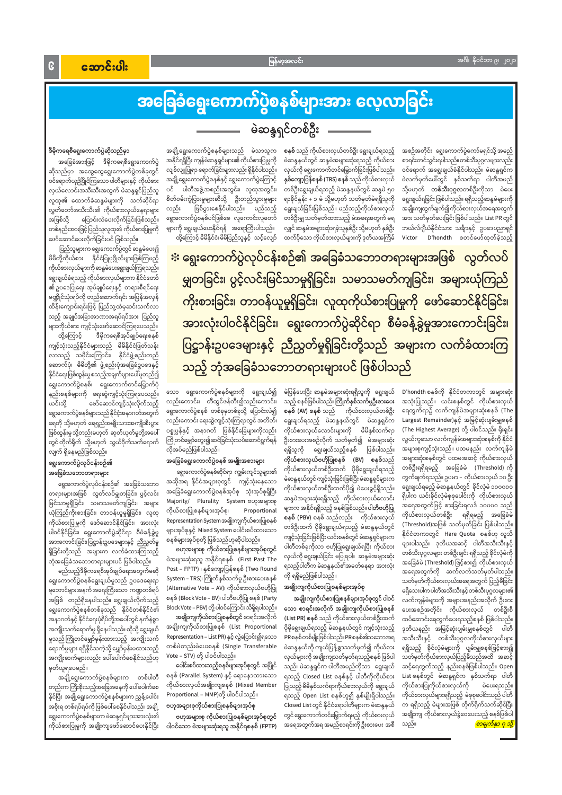# အခြေခံရွေးကောက်ပွဲစနစ်များအား လေ့လာခြင်း မဲဆန္ဒရှင်တစ်ဦး ————

အစဉ်အတိုင်း ရွေးကောက်ပွဲကော်မရှင်သို့ အမည် စာရင်းတင်သွင်းရပါသည်။ တစ်သီးပုဂ္ဂလများလည်း ဝင်ရောက် အရွေးချယ်ခံနိုင်ပါသည်။ မဲဆန္ဒရှင်က မဲလက်မှတ်ပေါ်တွင် နှစ်သက်ရာ ပါတီအမည် သို့မဟုတ် **တစ်သီးပုဂ္ဂလ**တစ်ဦးကိုသာ မဲပေး ရွေးချယ်ရခြင်း ဖြစ်ပါသည်။ ရရှိသည့်ဆန္ဒမဲများကို အချိုးကျတွက်ချက်၍ ကိုယ်စားလှယ်အရေအတွက် အား သတ်မှတ်ပေးခြင်း ဖြစ်ပါသည်။ List PR တွင် ဘယ်လ်ဂျီယံနိုင်ငံသား သင်္ချာနှင့် ဥပဒေပညာရှင် Victor D'hondth စတင်ဖော်ထုတ်ခဲ့သည့်

စနစ် သည် ကိုယ်စားလှယ်တစ်ဦး ရွေးချယ်ရသည့် မဲဆန္ဒနယ်တွင် ဆန္ဒမဲအများဆုံးရသည့် ကိုယ်စား လှယ်ကို ရွေးကောက်တင်မြှောက်ခြင်းဖြစ်ပါသည်။ **နှစ်ကျော့ပြန်စနစ် (TRS) စနစ်** သည် ကိုယ်စားလှယ် တစ်ဦးရွေးချယ်ရသည့် မဲဆန္ဒနယ်တွင် ဆန္ဒမဲ ၅၀ ရာခိုင်နှုန်း + ၁ မဲ သို့မဟုတ် သတ်မှတ်မဲရရှိသူကို ရွေးချယ်ခြင်းဖြစ်သည်။ မည်သည့်ကိုယ်စားလှယ် တစ်ဦးမျှ သတ်မှတ်ထားသည့် မဲအရေအတွက် မရ လျှင် ဆန္ဒမဲအများဆုံးရခဲ့သူနှစ်ဦး သို့မဟုတ် နှစ်ဦး ထက်ပိုသော ကိုယ်စားလှယ်များကို ဒုတိယအကြိမ်

အချို့ရွေးကောက်ပွဲစနစ်များသည် မဲသာသူက အနိုင်ရရှိပြီး ကျန်မဲဆန္ဒရှင်များ၏ ကိုယ်စားပြုမှုကို လျစ်လျူပြုရာ ရောက်ခြင်းများလည်း ရှိနိုင်ပါသည်။ အချို့ရွေးကောက်ပွဲစနစ်နှင့် ရွေးကောက်ပွဲကြောင့် ပင် ပါတီအဖွဲ့အစည်းအတွင်း၊ လူထုအတွင်း၊ စိတ်ဝမ်းကွဲပြားမှုများဆီသို့ ဦးတည်သွားမှုများ ဖြစ်ပွားစေနိုင်ပါသည်။ မည်သည့် လည်း ရွေးကောက်ပွဲစနစ်ပင်ဖြစ်စေ လူကောင်းလူတော် များကို ရွေးချယ်ပေးနိုင်ရန် အရေးကြီးပါသည်။ ထို့ကြောင့် မိမိနိုင်ငံ၊ မိမိပြည်သူနှင့် သင့်လျော်

ဒီမိုကရေစီရွေးကောက်ပွဲဆိုသည်မှာ

အခြေခံအားဖြင့် ဒီမိုကရေစီရွေးကောက်ပွဲ ဆိုသည်မှာ အထွေထွေရွေးကောက်ပွဲတစ်ခုတွင် ဝင်ရောက်ယှဉ်ပြိုင်ကြသော ပါတီများနှင့် ကိုယ်စား လှယ်လောင်းအသီးသီးအတွက် မဲဆန္ဒရှင်ပြည်သူ လူထု၏ ထောက်ခံဆန္ဒမဲများကို သက်ဆိုင်ရာ လွှတ်တော်အသီးသီး၏ ကိုယ်စားလှယ်နေရာများ ပြောင်းလဲပေးလိုက်ခြင်းဖြစ်သည်။ အဖြစ်သို့ တစ်နည်းအားဖြင့်ပြည်သူလူထု၏ ကိုယ်စားပြုမှုကို ဖော်ဆောင်ပေးလိုက်ခြင်းပင် ဖြစ်သည်။

ပြည်သူများက ရွေးကောက်ပွဲတွင် ဆန္ဒမဲပေး၍ မိမိတို့ကိုယ်စား နိုင်ငံပြုပုဂ္ဂိုလ်များဖြစ်ကြမည့် ကိုယ်စားလှယ်များကို ဆန္ဒမဲပေးရွေးချယ်ကြရသည်။ ရွေးချယ်ခံရသည့် ကိုယ်စားလှယ်များက နိုင်ငံတော် ၏ ဥပဒေပြုရေး၊ အုပ်ချုပ်ရေးနှင့် တရားစီရင်ရေး မဏ္ဍိုင်သုံးရပ်ကို တည်ဆောက်ရင်း အပြန်အလှန် ထိန်းကျောင်းရင်းဖြင့် ပြည်သူ့ထံမှဆင်းသက်လာ သည့် အချုပ်အခြာအာဏာအရပ်ရပ်အား ပြည်သူ များကိုယ်စား ကျင့်သုံးဖော်ဆောင်ကြရပေသည်။

ဒီမိုကရေစီအုပ်ချုပ်ရေးစနစ် ထို့ကြောင့် ကျင့်သုံးသည့်နိုင်ငံများသည် မိမိနိုင်ငံဖြတ်သန်း လာသည့် သမိုင်းကြောင်း၊ နိုင်ငံဖွဲ့စည်းတည် ဆောက်ပုံ၊ မိမိတို့၏ ဖွဲ့စည်းပုံအခြေခံဥပဒေနှင့် နိုင်ငံရေးဖြစ်ထွန်းမှုစသည့်အချက်များပေါ်မူတည်၍ ရွေးကောက်ပွဲစနစ်၊ ရွေးကောက်တင်မြှောက်ပုံ နည်းစနစ်များကို ရေးဆွဲကျင့်သုံးကြရပေသည်။ ဖော်ဆောင်ကျင့်သုံးလိုက်သည့် ယင်းသို့ ရွေးကောက်ပွဲစနစ်များသည် နိုင်ငံ့အနာဂတ်အတွက် ရေတို သို့မဟုတ် ရေရှည်အမျိုးသားအကျိုးစီးပွား ဖြစ်ထွန်းမှု သို့တည်းမဟုတ် ဆုတ်ယုတ်မှုတို့အပေါ် တွင် တိုက်ရိုက် သို့မဟုတ် သွယ်ဝိုက်သက်ရောက် လျက် ရှိနေမည်ဖြစ်သည်။

#### ရွေးကောက်ပွဲလုပ်ငန်းစဉ်၏ အခြေခံသဘောတရားများ

ရွေးကောက်ပွဲလုပ်ငန်းစဉ်၏ အခြေခံသဘော တရားများအဖြစ် လွတ်လပ်မျှတခြင်း၊ ပွင့်လင်း မြင်သာမှုရှိခြင်း၊ သမာသမတ်ကျခြင်း၊ အများ ယုံကြည်ကိုးစားခြင်း၊ တာဝန်ယူမှုရှိခြင်း၊ လူထု ကိုယ်စားပြုမှုကို ဖော်ဆောင်နိုင်ခြင်း၊ အားလုံး ပါဝင်နိုင်ခြင်း၊ ရွေးကောက်ပွဲဆိုင်ရာ စီမံခန့်ခွဲမှု အားကောင်းခြင်း၊ပြဋ္ဌာန်းဥပဒေများနှင့် ညီညွတ်မှု ရှိခြင်းတို့သည် အများက လက်ခံထားကြသည့် ဘုံအခြေခံသဘောတရားများပင် ဖြစ်ပါသည်။

မည်သည့်ဒီမိုကရေစီအုပ်ချုပ်ရေးအတွက်မဆို ရွေးကောက်ပွဲစနစ်ရွေးချယ်မှုသည် ဥပဒေရေးရာ မူဘောင်များအနက်အရေးကြီးသော ကဏ္ဍတစ်ရပ် အဖြစ် တည်ရှိနေပါသည်။ ရွေးချယ်လိုက်သည့် ရွေးကောက်ပွဲစနစ်တစ်ခုသည် နိုင်ငံတစ်နိုင်ငံ၏ အနာဂတ်နှင့် နိုင်ငံရေးပုံရိပ်တို့အပေါ်တွင် နက်နဲစွာ အကျိုးသက်ရောက်မှု ရှိနေပါသည်။ ထိုသို့ ရွေးချယ် မှုသည် ကြိုတင်မျှော်မှန်းထားသည့် အကျိုးသက် ရောက်မှုများ ရရှိနိုင်သကဲ့သို့ မျှော်မှန်းမထားသည့် အကျိုးဆက်များလည်း ပေါ်ပေါက်စေနိုင်သည်ဟု မှတ်ယူရပေမည်။ အချို့ရွေးကောက်ပွဲစနစ်များက တစ်ပါတီ တည်းကကြီးစိုးသည့်အခြေအနေကို ပေါ်ပေါက်စေ နိုင်ပြီး အချို့ရွေးကောက်ပွဲစနစ်များက ညွန့်ပေါင်း အစိုးရ တစ်ရပ်ရပ်ကို ဖြစ်ပေါ်စေနိုင်ပါသည်။ အချို့ ရွေးကောက်ပွဲစနစ်များက မဲဆန္ဒရှင်များအားလုံး၏ ကိုယ်စားပြုမှုကို အချိုးကျဖော်ဆောင်ပေးနိုင်ပြီး း ရွေးကောက်ပွဲလုပ်ငန်းစဉ်၏ အခြေခံသဘောတရားများအဖြစ် လွတ်လပ် မျှတခြင်း၊ ပွင့်လင်းမြင်သာမှုရှိခြင်း၊ သမာသမတ်ကျခြင်း၊ အများယုံကြည် ကိုးစားခြင်း၊ တာဝန်ယူမှုရှိခြင်း၊ လူထုကိုယ်စားပြုမှုကို ဖော်ဆောင်နိုင်ခြင်း၊ အားလုံးပါဝင်နိုင်ခြင်း၊ ရွေးကောက်ပွဲဆိုင်ရာ စီမံခန့်ခွဲမှုအားကောင်းခြင်း၊ ပြဋ္ဌာန်းဥပဒေများနှင့် ညီညွတ်မှုရှိခြင်းတို့သည် အများက လက်ခံထားကြ သည့် ဘုံအခြေခံသဘောတရားများပင် ဖြစ်ပါသည်

> D'hondth စနစ်ကို နိုင်ငံတကာတွင် အများဆုံး အသုံးပြုသည်။ ယင်းစနစ်တွင် ကိုယ်စားလှယ် ရေတွက်ရာ၌ လက်ကျန်မဲအများဆုံးစနစ် (The Largest Remainder)နှင့် အမြင့်ဆုံးပျမ်းမျှစနစ် (The Highest Average) တို့ ပါဝင်သည်။ ရိုးရှင်း လွယ်ကူသော လက်ကျန်မဲအများဆုံးစနစ်ကို နိုင်ငံ အများစုကျင့်သုံးသည်။ ပထမနည်း လက်ကျန်မဲ အများဆုံးစနစ်တွင် ပထမအဆင့် ကိုယ်စားလှယ် တစ်ဦးရရှိရမည့် အခြေခံမဲ (Threshold)ကို တွက်ချက်ရသည်။ ဥပမာ – ကိုယ်စားလှယ် ၁၀ ဦး ရွေးချယ်ရမည့် မဲဆန္ဒနယ်တွင် ခိုင်လုံမဲ ၁၀၀၀၀၀ ရှိပါက ယင်းခိုင်လုံမဲစုစုပေါင်းကို ကိုယ်စားလှယ် အရေအတွက်ဖြင့် စားခြင်းရလဒ် ၁၀၀၀၀ သည် ကိုယ်စားလှယ်တစ်ဦး ရရှိရမည့် အခြေခံမဲ (Threshold)အဖြစ် သတ်မှတ်ခြင်း ဖြစ်ပါသည်။ နိုင်ငံတကာတွင် Hare Quota စနစ်ဟု လူသိ များပါသည်။ ဒုတိယအဆင့် ပါတီအသီးသီးနှင့် တစ်သီးပုဂ္ဂလများ တစ်ဦးချင်း ရရှိသည့် ခိုင်လုံမဲကို အခြေခံမဲ (Threshold) ဖြင့်စား၍ ကိုယ်စားလှယ် အရေအတွက်ကို ဆက်လက်သတ်မှတ်ပါသည်။ သတ်မှတ်ကိုယ်စားလှယ်အရေအတွက် ပြည့်မီခြင်း မရှိသေးပါက ပါတီအသီးသီးနှင့် တစ်သီးပုဂ္ဂလများ၏

> > မဲပေးရသည်။

<mark>စာမျက်နှာ ဂု သို့</mark>

မဲပြန်ပေးပြီး ဆန္ဒမဲအများဆုံးရရှိသူကို ရွေးချယ် သည့် စနစ်ဖြစ်ပါသည်။ ကြိုက်နှစ်သက်မှုဦးစားပေး စနစ် (AV) စနစ် သည် ကိုယ်စားလှယ်တစ်ဦး ရွေးချယ်ရသည့် မဲဆန္ဒနယ်တွင် မဲဆန္ဒရှင်က ကိုယ်စားလှယ်လောင်းများကို မိမိနှစ်သက်ရာ ဦးစားပေးအစဉ်လိုက် သတ်မှတ်၍ မဲအများဆုံး ဖြစ်ပါသည်။ ရရှိသူကို ရွေးချယ်သည့်စနစ် ကိုယ်စားလှယ်ဗဟိုပြုစနစ် (BV) စနစ်သည် ကိုယ်စားလှယ်တစ်ဦးထက် ပိုမိုရွေးချယ်ရသည့် မဲဆန္ဒနယ်တွင် ကျင့်သုံးခြင်းဖြစ်ပြီး မဲဆန္ဒရှင်များက ကိုယ်စားလှယ်တစ်ဦးထက်ပို၍ မဲပေးခွင့်ရှိသည်။ ဆန္ဒမဲအများဆုံးရရှိသည့် ကိုယ်စားလှယ်လောင်း များက အနိုင်ရရှိသည့် စနစ်ဖြစ်သည်။ <mark>ပါတီဗဟိုပြ</mark>ု စနစ် (PBV) စနစ် သည်လည်း ကိုယ်စားလှယ် တစ်ဦးထက် ပိုမိုရွေးချယ်ရသည့် မဲဆန္ဒနယ်တွင် ကျင့်သုံးခြင်းဖြစ်ပြီး ယင်းစနစ်တွင် မဲဆန္ဒရှင်များက ပါတီတစ်ခုကိုသာ ဗဟိုပြုရွေးချယ်ရပြီး ကိုယ်စား လှယ်ကို ရွေးချယ်ခြင်း မပြုရပါ။ ဆန္ဒမဲအများဆုံး ရသည့်ပါတီက မဲဆန္ဒနယ်၏အမတ်နေရာ အားလုံး ကို ရရှိမည်ဖြစ်ပါသည်။

# အချိုးကျကိုယ်စားပြုစနစ်များအုပ်စု

အချိုးကျကိုယ်စားပြုစနစ်များအုပ်စုတွင် ပါဝင် လက်ကျန်မဲများကို အများအနည်းအလိုက် ဦးစ သော စာရင်းအလိုက် အချိုးကျကိုယ်စားပြုစနစ် ပေးအစဉ်အတိုင်း ကိုယ်စားလှယ် တစ်ဦးစီ (List PR) စနစ် သည် ကိုယ်စားလှယ်တစ်ဦးထက် ထပ်ဆောင်းရေတွက်ပေးရသည့်စနစ် ဖြစ်ပါသည်။ ပိုမိုရွေးချယ်ရသည့် မဲဆန္ဒနယ်တွင် ကျင့်သုံးသည့် ဒုတိယနည်း အမြင့်ဆုံးပျမ်းမျှစနစ်တွင် ပါတီ PRစနစ်တစ်မျိုးဖြစ်ပါသည်။ PRစနစ်၏သဘောအရ အသီးသီးနှင့် တစ်သီးပုဂ္ဂလကိုယ်စားလှယ်များ မဲဆန္ဒနယ်ကို ကျယ်ပြန့်စွာသတ်မှတ်၍ ကိုယ်စား ရရှိသည့် ခိုင်လုံမဲများကို ပျမ်းမျှစနစ်ဖြင့်စား၍ လှယ်များကို အချိုးကျသတ်မှတ်ရသည့်စနစ် ဖြစ်ပါ သတ်မှတ်ကိုယ်စားလှယ်ပြည့်မီသည်အထိ အဆင့် သည်။ မဲဆန္ဒရှင်က ပါတီအမည်ကိုသာ ရွေးချယ် ဆင့်ရေတွက်သည့် နည်းစနစ်ဖြစ်ပါသည်။ Open ရသည့် Closed List စနစ်နှင့် ပါတီကိုကိုယ်စား List စနစ်တွင် မဲဆန္ဒရှင်က နှစ်သက်ရာ ပါတီ ပြုသည့် မိမိနှစ်သက်ရာကိုယ်စားလှယ်ကို ရွေးချယ် ကိုယ်စားပြုကိုယ်စားလှယ်ကို ကိုယ်စားလှယ်များရရှိသည့် မဲစုစုပေါင်းသည် ပါတီ ရသည့် Open List စနစ်ဟူ၍ နှစ်မျိုးရှိပါသည်။ Closed List တွင် နိုင်ငံရေးပါတီများက မဲဆန္ဒနယ် က ရရှိသည့် မဲများအဖြစ် တိုက်ရိုက်သက်ဆိုင်ပြီး တွင် ရွေးကောက်တင်မြှောက်ရမည့် ကိုယ်စားလှယ် အချိုးကျ ကိုယ်စားလှယ်ခွဲဝေပေးသည့် စနစ်ဖြစ်ပါ သည်။ အရေအတွက်အရ အမည်စာရင်းကို ဦးစားပေး အစီ

သော ရွေးကောက်ပွဲစနစ်များကို ရွေးချယ်၍ လည်းကောင်း၊ တီထွင်ဖန်တီး၍လည်းကောင်း၊ ရွေးကောက်ပွဲစနစ် တစ်ခုမှတစ်ခုသို့ ပြောင်းလဲ၍ လည်းကောင်း ရေးဆွဲကျင့်သုံးကြရာတွင် အတိတ်၊ ပစ္စုပ္ပန်နှင့် အနာဂတ် ဖြစ်နိုင်ခြေများကိုလည်း ကြိုတင်မျှော်တွေး၍ ဆင်ခြင်သုံးသပ်ဆောင်ရွက်ရန် လိုအပ်မည်ဖြစ်ပါသည်။

#### အခြေခံရွေးကောက်ပွဲစနစ် အမျိုးအစားများ

ရွေးကောက်ပွဲစနစ်ဆိုင်ရာ ကျွမ်းကျင်သူများ၏ အဆိုအရ နိုင်ငံအများစုတွင် ကျင့်သုံးနေသော အခြေခံရွေးကောက်ပွဲစနစ်အုပ်စု သုံးအုပ်စုရှိပြီး Majority/ Plurality System ဗဟုအများစု ကိုယ်စားပြုစနစ်များအုပ်စု၊ Proportional Representation System အချိုးကျကိုယ်စားပြုစနစ် များအုပ်စုနှင့် Mixed System ပေါင်းစပ်ထားသော စနစ်များအုပ်စုတို့ ဖြစ်သည်ဟုဆိုပါသည်။

ဗဟုအများစု ကိုယ်စားပြုစနစ်များအုပ်စုတွင် မဲအများဆုံးရသူ အနိုင်ရစနစ် (First Past The Post – FPTP) ၊ နှစ်ကျော့ပြန်စနစ် (Two Round System – TRS)၊ ကြိုက်နှစ်သက်မှု ဦးစားပေးစနစ် (Alternative Vote – AV)၊ ကိုယ်စားလှယ်ဗဟိုပြု စနစ် (Block Vote – BV)၊ ပါတီဗဟိုပြု စနစ် (Party Block Vote – PBV) တို့ ပါဝင်ကြောင်း သိရှိရပါသည်။ အချိုးကျကိုယ်စားပြုစနစ်တွင် စာရင်းအလိုက် အချိုးကျကိုယ်စားပြုစနစ် (List Proportional Representation – List PR) နှင့် လွှဲပြောင်း၍ရသော တစ်မဲတည်းမဲပေးစနစ် (Single Transferable Vote – STV) တို့ ပါဝင်ပါသည်။ ပေါင်းစပ်ထားသည့်စနစ်များအုပ်စုတွင် အပြိုင် စနစ် (Parallel System) နှင့် ရောနှောထားသော ကိုယ်စားလှယ်အချိုးကျစနစ် (Mixed Member Proportional – MMP)တို့ ပါဝင်ပါသည်။ ဗဟုအများစုကိုယ်စားပြုစနစ်များအုပ်စု ဗဟုအများစု ကိုယ်စားပြုစနစ်များအုပ်စုတွင် ပါဝင်သော မဲအများဆုံးရသူ အနိုင်ရစနစ် (FPTP)